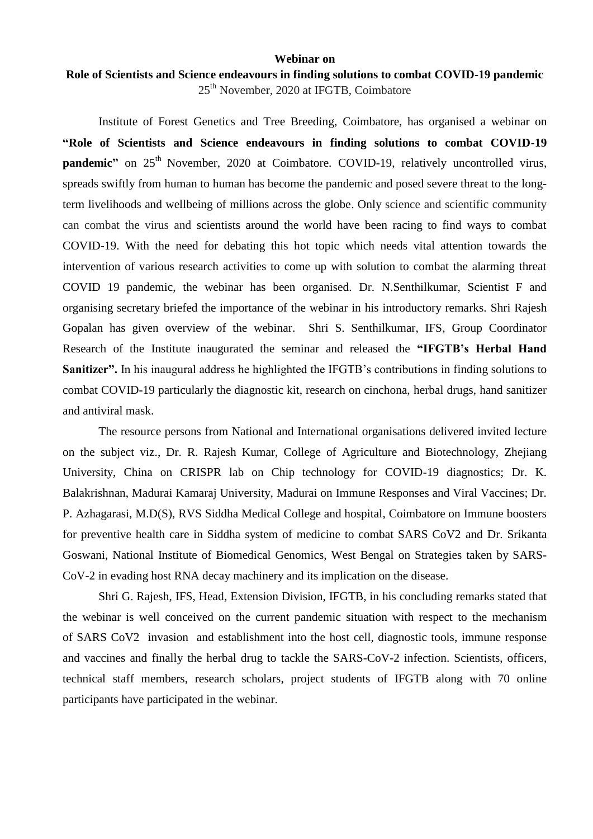## **Webinar on**

## **Role of Scientists and Science endeavours in finding solutions to combat COVID-19 pandemic** 25th November, 2020 at IFGTB, Coimbatore

Institute of Forest Genetics and Tree Breeding, Coimbatore, has organised a webinar on **"Role of Scientists and Science endeavours in finding solutions to combat COVID-19 pandemic**" on 25<sup>th</sup> November, 2020 at Coimbatore. COVID-19, relatively uncontrolled virus, spreads swiftly from human to human has become the pandemic and posed severe threat to the longterm livelihoods and wellbeing of millions across the globe. Only science and scientific community can combat the virus and scientists around the world have been racing to find ways to combat COVID-19. With the need for debating this hot topic which needs vital attention towards the intervention of various research activities to come up with solution to combat the alarming threat COVID 19 pandemic, the webinar has been organised. Dr. N.Senthilkumar, Scientist F and organising secretary briefed the importance of the webinar in his introductory remarks. Shri Rajesh Gopalan has given overview of the webinar. Shri S. Senthilkumar, IFS, Group Coordinator Research of the Institute inaugurated the seminar and released the **"IFGTB's Herbal Hand Sanitizer".** In his inaugural address he highlighted the IFGTB's contributions in finding solutions to combat COVID-19 particularly the diagnostic kit, research on cinchona, herbal drugs, hand sanitizer and antiviral mask.

The resource persons from National and International organisations delivered invited lecture on the subject viz., Dr. R. Rajesh Kumar, College of Agriculture and Biotechnology, Zhejiang University, China on CRISPR lab on Chip technology for COVID-19 diagnostics; Dr. K. Balakrishnan, Madurai Kamaraj University, Madurai on Immune Responses and Viral Vaccines; Dr. P. Azhagarasi, M.D(S), RVS Siddha Medical College and hospital, Coimbatore on Immune boosters for preventive health care in Siddha system of medicine to combat SARS CoV2 and Dr. Srikanta Goswani, National Institute of Biomedical Genomics, West Bengal on Strategies taken by SARS-CoV-2 in evading host RNA decay machinery and its implication on the disease.

Shri G. Rajesh, IFS, Head, Extension Division, IFGTB, in his concluding remarks stated that the webinar is well conceived on the current pandemic situation with respect to the mechanism of SARS CoV2 invasion and establishment into the host cell, diagnostic tools, immune response and vaccines and finally the herbal drug to tackle the SARS-CoV-2 infection. Scientists, officers, technical staff members, research scholars, project students of IFGTB along with 70 online participants have participated in the webinar.